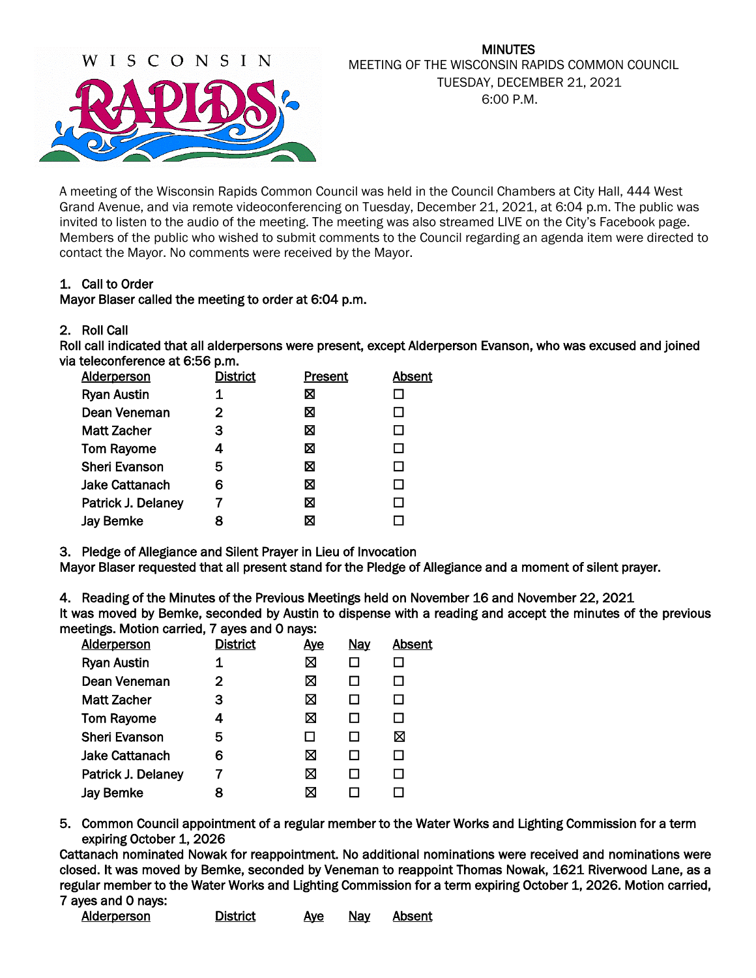

# MINUTES MEETING OF THE WISCONSIN RAPIDS COMMON COUNCIL TUESDAY, DECEMBER 21, 2021 6:00 P.M.

A meeting of the Wisconsin Rapids Common Council was held in the Council Chambers at City Hall, 444 West Grand Avenue, and via remote videoconferencing on Tuesday, December 21, 2021, at 6:04 p.m. The public was invited to listen to the audio of the meeting. The meeting was also streamed LIVE on the City's Facebook page. Members of the public who wished to submit comments to the Council regarding an agenda item were directed to contact the Mayor. No comments were received by the Mayor.

## 1. Call to Order

### Mayor Blaser called the meeting to order at 6:04 p.m.

### 2. Roll Call

Roll call indicated that all alderpersons were present, except Alderperson Evanson, who was excused and joined via teleconference at 6:56 p.m.

| <b>Alderperson</b>    | <b>District</b> | <b>Present</b> | <b>Absent</b> |
|-----------------------|-----------------|----------------|---------------|
| <b>Ryan Austin</b>    |                 | ⊠              |               |
| Dean Veneman          | 2               | ⊠              | П             |
| <b>Matt Zacher</b>    | З               | ⊠              | П             |
| <b>Tom Rayome</b>     | 4               | ⊠              | ΙI            |
| <b>Sheri Evanson</b>  | 5               | ⊠              |               |
| <b>Jake Cattanach</b> | 6               | ⊠              |               |
| Patrick J. Delaney    |                 | ⊠              |               |
| <b>Jay Bemke</b>      | 8               | ⊠              |               |

3. Pledge of Allegiance and Silent Prayer in Lieu of Invocation

Mayor Blaser requested that all present stand for the Pledge of Allegiance and a moment of silent prayer.

4. Reading of the Minutes of the Previous Meetings held on November 16 and November 22, 2021 It was moved by Bemke, seconded by Austin to dispense with a reading and accept the minutes of the previous meetings. Motion carried, 7 ayes and 0 nays:

| <b>Alderperson</b>    | <b>District</b> | <u>Ave</u> | <b>Nay</b>   | Absent |
|-----------------------|-----------------|------------|--------------|--------|
| <b>Ryan Austin</b>    | 1               | ⊠          |              |        |
| Dean Veneman          | $\mathbf 2$     | ⊠          |              |        |
| <b>Matt Zacher</b>    | 3               | ⊠          |              |        |
| <b>Tom Rayome</b>     | 4               | ⊠          |              |        |
| <b>Sheri Evanson</b>  | 5               |            | $\mathsf{L}$ | ⊠      |
| <b>Jake Cattanach</b> | 6               | ⊠          | $\mathsf{L}$ |        |
| Patrick J. Delaney    |                 | ⊠          |              |        |
| <b>Jay Bemke</b>      | 8               | X          |              |        |
|                       |                 |            |              |        |

5. Common Council appointment of a regular member to the Water Works and Lighting Commission for a term expiring October 1, 2026

Cattanach nominated Nowak for reappointment. No additional nominations were received and nominations were closed. It was moved by Bemke, seconded by Veneman to reappoint Thomas Nowak, 1621 Riverwood Lane, as a regular member to the Water Works and Lighting Commission for a term expiring October 1, 2026. Motion carried, 7 ayes and 0 nays:

| Alderperson | <b>District</b> | <u>Ave</u> | Nay | Absent |
|-------------|-----------------|------------|-----|--------|
|             |                 |            |     |        |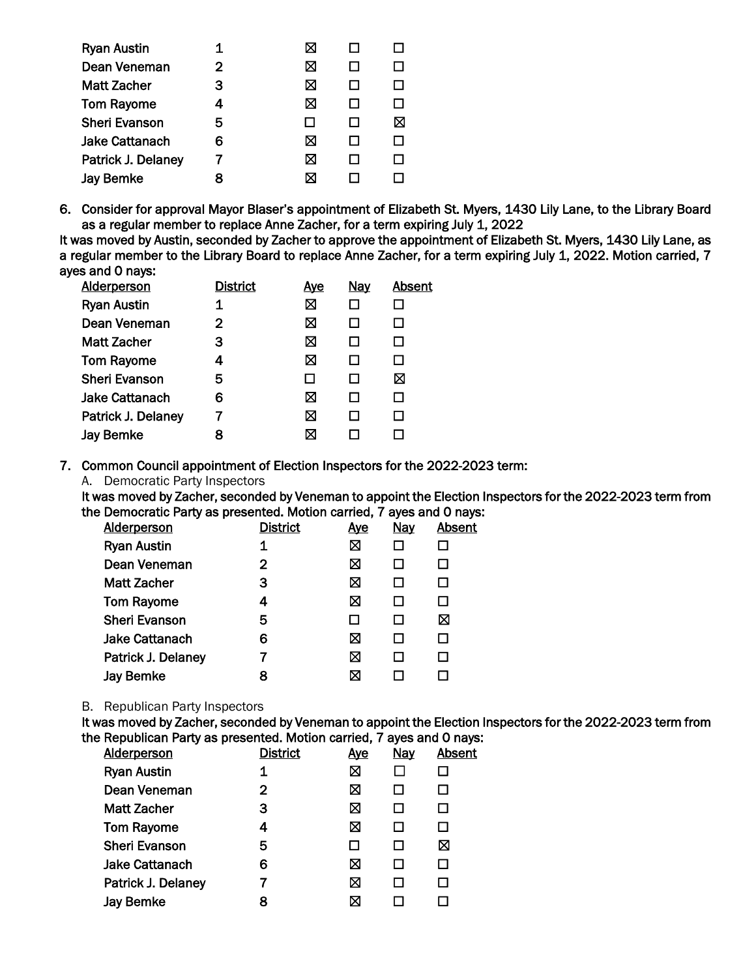| <b>Ryan Austin</b>    |   | ⋈ |   |
|-----------------------|---|---|---|
| Dean Veneman          | 2 | ⊠ |   |
| <b>Matt Zacher</b>    | 3 | ⊠ |   |
| <b>Tom Rayome</b>     | 4 | ⊠ |   |
| <b>Sheri Evanson</b>  | 5 |   | ⊠ |
| <b>Jake Cattanach</b> | 6 | ⊠ |   |
| Patrick J. Delaney    |   | ⊠ |   |
| <b>Jay Bemke</b>      |   | ⊠ |   |

6. Consider for approval Mayor Blaser's appointment of Elizabeth St. Myers, 1430 Lily Lane, to the Library Board as a regular member to replace Anne Zacher, for a term expiring July 1, 2022

It was moved by Austin, seconded by Zacher to approve the appointment of Elizabeth St. Myers, 1430 Lily Lane, as a regular member to the Library Board to replace Anne Zacher, for a term expiring July 1, 2022. Motion carried, 7 ayes and 0 nays:

| <b>District</b> | <u>Aye</u> | Nay | Absent |
|-----------------|------------|-----|--------|
| 1               | ⊠          |     |        |
| 2               | ⊠          |     |        |
| з               | ⊠          |     |        |
| 4               | ⊠          |     |        |
| 5               |            |     | ⊠      |
| 6               | ⊠          |     |        |
|                 | ⊠          |     |        |
| я               | ⊠          |     |        |
|                 |            |     |        |

7. Common Council appointment of Election Inspectors for the 2022-2023 term:

A. Democratic Party Inspectors

It was moved by Zacher, seconded by Veneman to appoint the Election Inspectors for the 2022-2023 term from the Democratic Party as presented. Motion carried, 7 ayes and 0 nays:

| <b>District</b> | <u>Ave</u> | <b>Nay</b> | Absent |
|-----------------|------------|------------|--------|
| 1               | 区          |            |        |
| 2               | ⊠          |            |        |
| 3               | ⊠          |            | П      |
| 4               | ⊠          |            |        |
| 5               |            |            | ⊠      |
| 6               | ⊠          |            | ப      |
|                 | ⊠          |            |        |
| 8               | ⊠          |            |        |
|                 |            |            |        |

#### B. Republican Party Inspectors

It was moved by Zacher, seconded by Veneman to appoint the Election Inspectors for the 2022-2023 term from the Republican Party as presented. Motion carried, 7 ayes and 0 nays:

| <b>Alderperson</b>    | <b>District</b> | <u>Aye</u> | <b>Nay</b> | Absent |
|-----------------------|-----------------|------------|------------|--------|
| <b>Ryan Austin</b>    | 1               | ⊠          |            |        |
| Dean Veneman          | 2               | 区          |            |        |
| <b>Matt Zacher</b>    | 3               | 区          |            |        |
| <b>Tom Rayome</b>     | 4               | ⊠          |            |        |
| <b>Sheri Evanson</b>  | 5               | ப          |            | ⊠      |
| <b>Jake Cattanach</b> | 6               | ⊠          |            | ΙI     |
| Patrick J. Delaney    |                 | ⊠          |            |        |
| <b>Jay Bemke</b>      | 8               | ⊠          |            |        |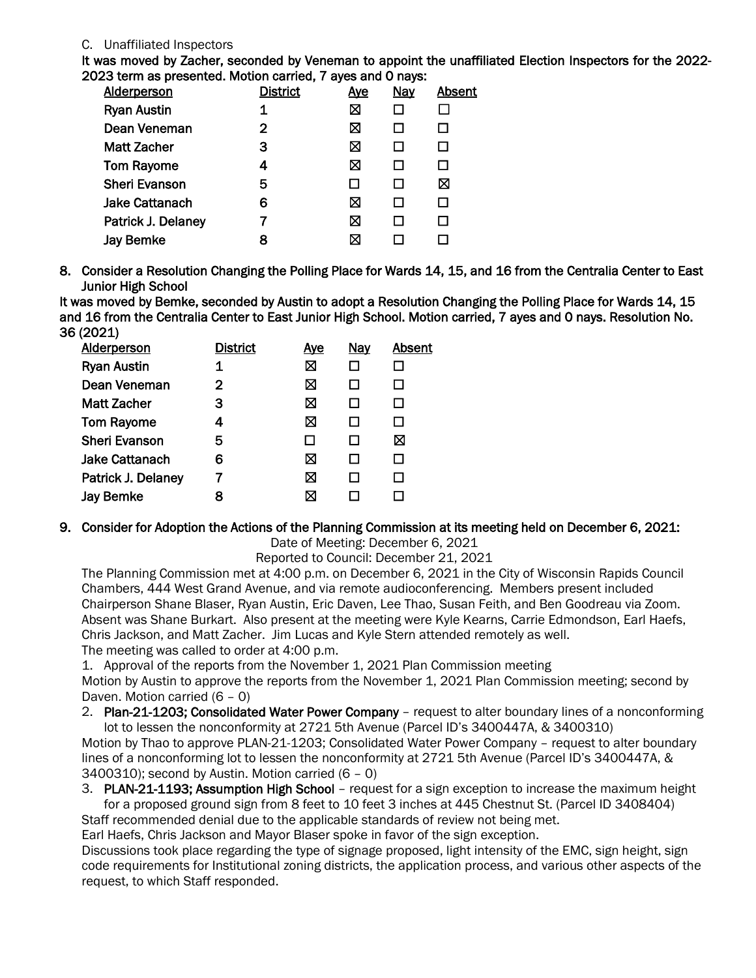## C. Unaffiliated Inspectors

It was moved by Zacher, seconded by Veneman to appoint the unaffiliated Election Inspectors for the 2022- 2023 term as presented. Motion carried, 7 ayes and 0 nays:

| <b>Alderperson</b>    | <b>District</b> | <u>Aye</u> | <b>Nay</b> | Absent |
|-----------------------|-----------------|------------|------------|--------|
| <b>Ryan Austin</b>    | 1               | Ø          |            |        |
| Dean Veneman          | $\overline{2}$  | Ø          |            |        |
| <b>Matt Zacher</b>    | 3               | Ø          |            |        |
| <b>Tom Rayome</b>     | 4               | ⊠          |            |        |
| <b>Sheri Evanson</b>  | 5               | ΙI         |            | ⊠      |
| <b>Jake Cattanach</b> | 6               | ⊠          |            |        |
| Patrick J. Delaney    |                 | ⊠          |            |        |
| <b>Jay Bemke</b>      | 8               | ⊠          |            |        |
|                       |                 |            |            |        |

8. Consider a Resolution Changing the Polling Place for Wards 14, 15, and 16 from the Centralia Center to East Junior High School

It was moved by Bemke, seconded by Austin to adopt a Resolution Changing the Polling Place for Wards 14, 15 and 16 from the Centralia Center to East Junior High School. Motion carried, 7 ayes and 0 nays. Resolution No. 36 (2021)

| <b>Alderperson</b>    | <b>District</b> | <u>Ave</u> | <b>Nay</b> | Absent |
|-----------------------|-----------------|------------|------------|--------|
| <b>Ryan Austin</b>    | 1               | ⊠          |            |        |
| Dean Veneman          | $\mathbf{2}$    | ⊠          |            |        |
| <b>Matt Zacher</b>    | 3               | ⊠          | П          |        |
| <b>Tom Rayome</b>     | 4               | ⊠          | П          |        |
| <b>Sheri Evanson</b>  | 5               |            | LΙ         | ⊠      |
| <b>Jake Cattanach</b> | 6               | ⊠          |            |        |
| Patrick J. Delaney    |                 | ⊠          | l I        |        |
| Jay Bemke             | 8               | ⊠          |            |        |
|                       |                 |            |            |        |

## 9. Consider for Adoption the Actions of the Planning Commission at its meeting held on December 6, 2021:

Date of Meeting: December 6, 2021

Reported to Council: December 21, 2021

The Planning Commission met at 4:00 p.m. on December 6, 2021 in the City of Wisconsin Rapids Council Chambers, 444 West Grand Avenue, and via remote audioconferencing. Members present included Chairperson Shane Blaser, Ryan Austin, Eric Daven, Lee Thao, Susan Feith, and Ben Goodreau via Zoom. Absent was Shane Burkart. Also present at the meeting were Kyle Kearns, Carrie Edmondson, Earl Haefs, Chris Jackson, and Matt Zacher. Jim Lucas and Kyle Stern attended remotely as well. The meeting was called to order at 4:00 p.m.

1. Approval of the reports from the November 1, 2021 Plan Commission meeting

Motion by Austin to approve the reports from the November 1, 2021 Plan Commission meeting; second by Daven. Motion carried (6 – 0)

2. Plan-21-1203; Consolidated Water Power Company – request to alter boundary lines of a nonconforming lot to lessen the nonconformity at 2721 5th Avenue (Parcel ID's 3400447A, & 3400310)

Motion by Thao to approve PLAN-21-1203; Consolidated Water Power Company – request to alter boundary lines of a nonconforming lot to lessen the nonconformity at 2721 5th Avenue (Parcel ID's 3400447A, & 3400310); second by Austin. Motion carried (6 – 0)

3. PLAN-21-1193; Assumption High School - request for a sign exception to increase the maximum height for a proposed ground sign from 8 feet to 10 feet 3 inches at 445 Chestnut St. (Parcel ID 3408404)

Staff recommended denial due to the applicable standards of review not being met.

Earl Haefs, Chris Jackson and Mayor Blaser spoke in favor of the sign exception.

Discussions took place regarding the type of signage proposed, light intensity of the EMC, sign height, sign code requirements for Institutional zoning districts, the application process, and various other aspects of the request, to which Staff responded.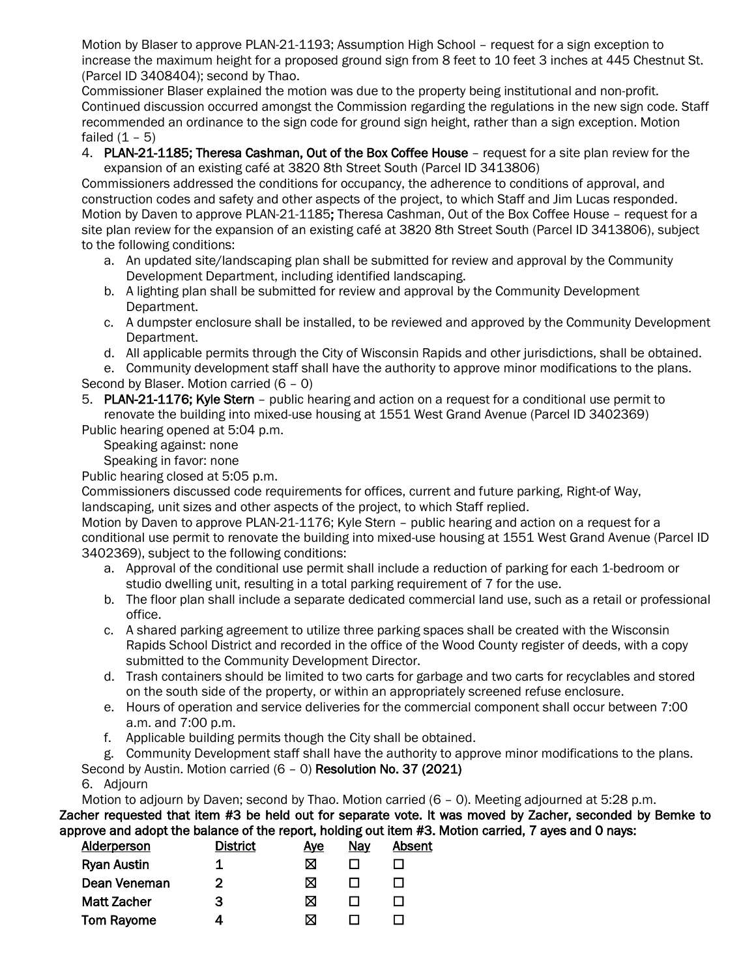Motion by Blaser to approve PLAN-21-1193; Assumption High School – request for a sign exception to increase the maximum height for a proposed ground sign from 8 feet to 10 feet 3 inches at 445 Chestnut St. (Parcel ID 3408404); second by Thao.

Commissioner Blaser explained the motion was due to the property being institutional and non-profit. Continued discussion occurred amongst the Commission regarding the regulations in the new sign code. Staff recommended an ordinance to the sign code for ground sign height, rather than a sign exception. Motion failed  $(1 - 5)$ 

4. PLAN-21-1185; Theresa Cashman, Out of the Box Coffee House – request for a site plan review for the expansion of an existing café at 3820 8th Street South (Parcel ID 3413806)

Commissioners addressed the conditions for occupancy, the adherence to conditions of approval, and construction codes and safety and other aspects of the project, to which Staff and Jim Lucas responded. Motion by Daven to approve PLAN-21-1185; Theresa Cashman, Out of the Box Coffee House – request for a site plan review for the expansion of an existing café at 3820 8th Street South (Parcel ID 3413806), subject to the following conditions:

- a. An updated site/landscaping plan shall be submitted for review and approval by the Community Development Department, including identified landscaping.
- b. A lighting plan shall be submitted for review and approval by the Community Development Department.
- c. A dumpster enclosure shall be installed, to be reviewed and approved by the Community Development Department.
- d. All applicable permits through the City of Wisconsin Rapids and other jurisdictions, shall be obtained.

e. Community development staff shall have the authority to approve minor modifications to the plans. Second by Blaser. Motion carried (6 – 0)

5. PLAN-21-1176; Kyle Stern – public hearing and action on a request for a conditional use permit to renovate the building into mixed-use housing at 1551 West Grand Avenue (Parcel ID 3402369)

Public hearing opened at 5:04 p.m.

Speaking against: none

Speaking in favor: none

Public hearing closed at 5:05 p.m.

Commissioners discussed code requirements for offices, current and future parking, Right-of Way, landscaping, unit sizes and other aspects of the project, to which Staff replied.

Motion by Daven to approve PLAN-21-1176; Kyle Stern – public hearing and action on a request for a conditional use permit to renovate the building into mixed-use housing at 1551 West Grand Avenue (Parcel ID 3402369), subject to the following conditions:

- a. Approval of the conditional use permit shall include a reduction of parking for each 1-bedroom or studio dwelling unit, resulting in a total parking requirement of 7 for the use.
- b. The floor plan shall include a separate dedicated commercial land use, such as a retail or professional office.
- c. A shared parking agreement to utilize three parking spaces shall be created with the Wisconsin Rapids School District and recorded in the office of the Wood County register of deeds, with a copy submitted to the Community Development Director.
- d. Trash containers should be limited to two carts for garbage and two carts for recyclables and stored on the south side of the property, or within an appropriately screened refuse enclosure.
- e. Hours of operation and service deliveries for the commercial component shall occur between 7:00 a.m. and 7:00 p.m.
- f. Applicable building permits though the City shall be obtained.

g. Community Development staff shall have the authority to approve minor modifications to the plans.

# Second by Austin. Motion carried (6 – 0) Resolution No. 37 (2021)

# 6. Adjourn

Motion to adjourn by Daven; second by Thao. Motion carried (6 – 0). Meeting adjourned at 5:28 p.m. Zacher requested that item #3 be held out for separate vote. It was moved by Zacher, seconded by Bemke to approve and adopt the balance of the report, holding out item #3. Motion carried, 7 ayes and 0 nays:

| <b>Alderperson</b> | <b>District</b> | <u>Aye</u> | <u>Nay</u> | <b>Absent</b> |
|--------------------|-----------------|------------|------------|---------------|
| <b>Ryan Austin</b> |                 | ⊠          |            |               |
| Dean Veneman       | 2               |            |            |               |
| <b>Matt Zacher</b> | з               | ⋈          |            |               |
| <b>Tom Rayome</b>  |                 | M          |            |               |
|                    |                 |            |            |               |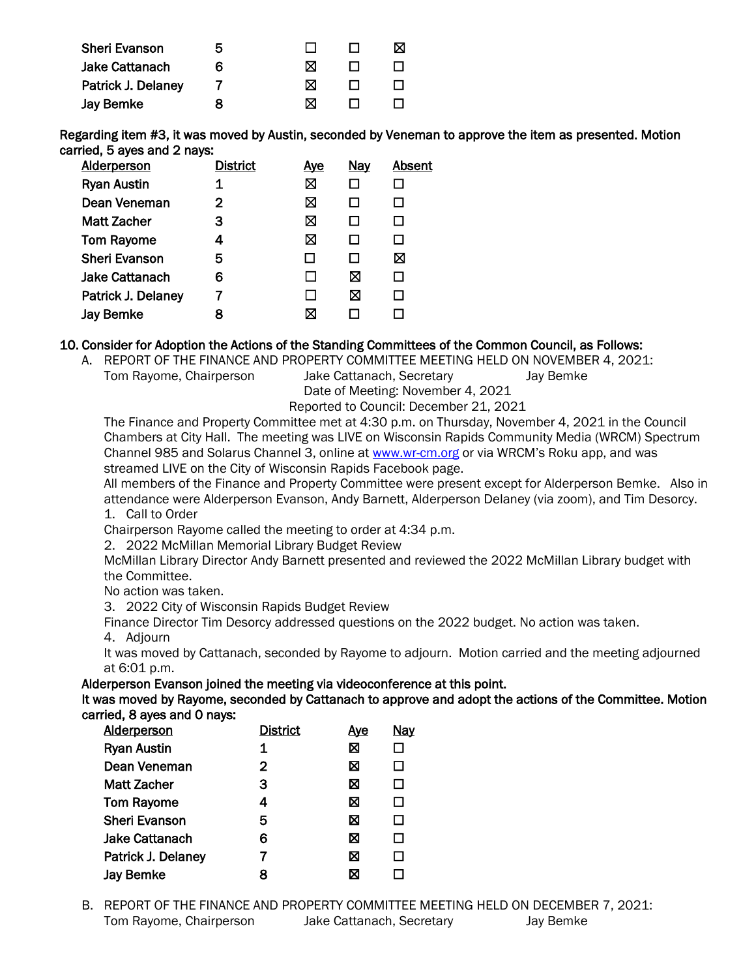| ხ |   |  |
|---|---|--|
| Ⴌ | M |  |
|   | M |  |
| x | M |  |
|   |   |  |

Regarding item #3, it was moved by Austin, seconded by Veneman to approve the item as presented. Motion carried, 5 ayes and 2 nays:

| <b>Alderperson</b>    | <b>District</b> | <u>Ave</u> | <b>Nay</b> | <b>Absent</b> |
|-----------------------|-----------------|------------|------------|---------------|
| <b>Ryan Austin</b>    |                 | ⊠          |            |               |
| Dean Veneman          | 2               | ⊠          |            |               |
| <b>Matt Zacher</b>    | 3               | ⊠          |            |               |
| <b>Tom Rayome</b>     | 4               | ⊠          |            |               |
| <b>Sheri Evanson</b>  | 5               |            |            | ⊠             |
| <b>Jake Cattanach</b> | 6               |            | ⊠          |               |
| Patrick J. Delaney    |                 |            | ⊠          |               |
| <b>Jay Bemke</b>      | 8               |            |            |               |
|                       |                 |            |            |               |

#### 10. Consider for Adoption the Actions of the Standing Committees of the Common Council, as Follows:

A. REPORT OF THE FINANCE AND PROPERTY COMMITTEE MEETING HELD ON NOVEMBER 4, 2021:

Tom Rayome, Chairperson Jake Cattanach, Secretary Jay Bemke

Date of Meeting: November 4, 2021

Reported to Council: December 21, 2021

The Finance and Property Committee met at 4:30 p.m. on Thursday, November 4, 2021 in the Council Chambers at City Hall. The meeting was LIVE on Wisconsin Rapids Community Media (WRCM) Spectrum Channel 985 and Solarus Channel 3, online a[t www.wr-cm.org](http://www.wr-cm.org/) or via WRCM's Roku app, and was streamed LIVE on the City of Wisconsin Rapids Facebook page.

All members of the Finance and Property Committee were present except for Alderperson Bemke. Also in attendance were Alderperson Evanson, Andy Barnett, Alderperson Delaney (via zoom), and Tim Desorcy. 1. Call to Order

Chairperson Rayome called the meeting to order at 4:34 p.m.

2. 2022 McMillan Memorial Library Budget Review

McMillan Library Director Andy Barnett presented and reviewed the 2022 McMillan Library budget with the Committee.

No action was taken.

3. 2022 City of Wisconsin Rapids Budget Review

Finance Director Tim Desorcy addressed questions on the 2022 budget. No action was taken.

4. Adjourn

It was moved by Cattanach, seconded by Rayome to adjourn. Motion carried and the meeting adjourned at 6:01 p.m.

Alderperson Evanson joined the meeting via videoconference at this point.

It was moved by Rayome, seconded by Cattanach to approve and adopt the actions of the Committee. Motion carried, 8 ayes and 0 nays:

| <b>Alderperson</b>    | <b>District</b> | <u>Aye</u> | <b>Nay</b>   |
|-----------------------|-----------------|------------|--------------|
| <b>Ryan Austin</b>    | 1               | X          | $\mathsf{L}$ |
| Dean Veneman          | $\overline{2}$  | ⊠          | П            |
| <b>Matt Zacher</b>    | 3               | X          | П            |
| <b>Tom Rayome</b>     | 4               | X          | П            |
| <b>Sheri Evanson</b>  | 5               | X          | П            |
| <b>Jake Cattanach</b> | 6               | ⊠          | П            |
| Patrick J. Delaney    | 7               | X          | П            |
| <b>Jay Bemke</b>      | 8               | ⊠          |              |

B. REPORT OF THE FINANCE AND PROPERTY COMMITTEE MEETING HELD ON DECEMBER 7, 2021: Tom Rayome, Chairperson Jake Cattanach, Secretary Jay Bemke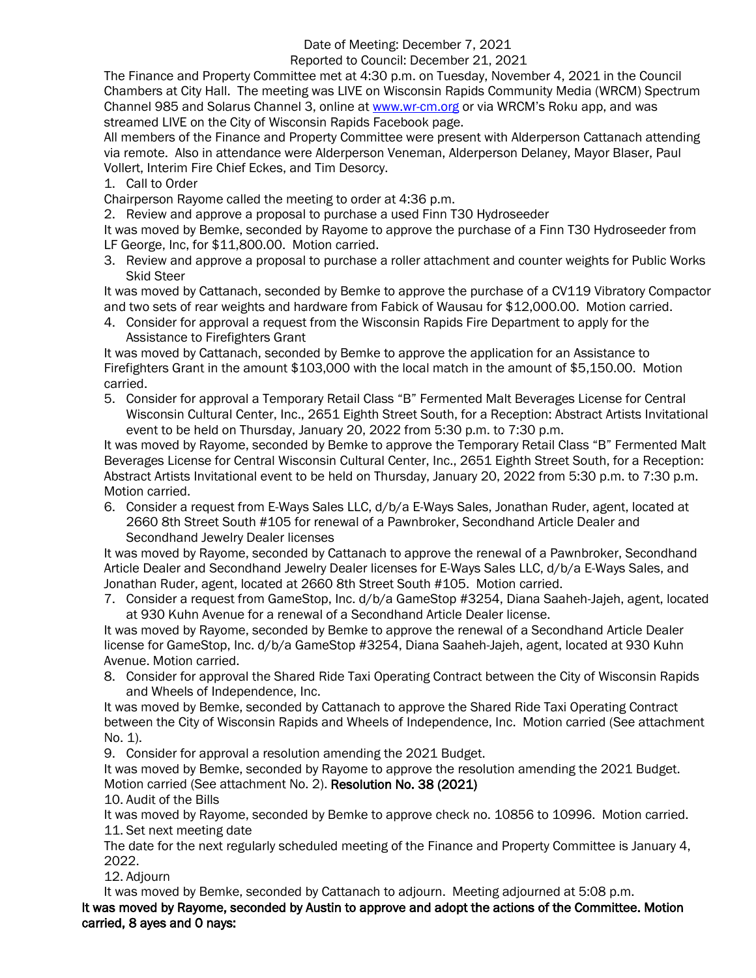# Date of Meeting: December 7, 2021

## Reported to Council: December 21, 2021

The Finance and Property Committee met at 4:30 p.m. on Tuesday, November 4, 2021 in the Council Chambers at City Hall. The meeting was LIVE on Wisconsin Rapids Community Media (WRCM) Spectrum Channel 985 and Solarus Channel 3, online a[t www.wr-cm.org](http://www.wr-cm.org/) or via WRCM's Roku app, and was streamed LIVE on the City of Wisconsin Rapids Facebook page.

All members of the Finance and Property Committee were present with Alderperson Cattanach attending via remote. Also in attendance were Alderperson Veneman, Alderperson Delaney, Mayor Blaser, Paul Vollert, Interim Fire Chief Eckes, and Tim Desorcy.

1. Call to Order

Chairperson Rayome called the meeting to order at 4:36 p.m.

2. Review and approve a proposal to purchase a used Finn T30 Hydroseeder

It was moved by Bemke, seconded by Rayome to approve the purchase of a Finn T30 Hydroseeder from LF George, Inc, for \$11,800.00. Motion carried.

3. Review and approve a proposal to purchase a roller attachment and counter weights for Public Works Skid Steer

It was moved by Cattanach, seconded by Bemke to approve the purchase of a CV119 Vibratory Compactor and two sets of rear weights and hardware from Fabick of Wausau for \$12,000.00. Motion carried.

4. Consider for approval a request from the Wisconsin Rapids Fire Department to apply for the Assistance to Firefighters Grant

It was moved by Cattanach, seconded by Bemke to approve the application for an Assistance to Firefighters Grant in the amount \$103,000 with the local match in the amount of \$5,150.00. Motion carried.

5. Consider for approval a Temporary Retail Class "B" Fermented Malt Beverages License for Central Wisconsin Cultural Center, Inc., 2651 Eighth Street South, for a Reception: Abstract Artists Invitational event to be held on Thursday, January 20, 2022 from 5:30 p.m. to 7:30 p.m.

It was moved by Rayome, seconded by Bemke to approve the Temporary Retail Class "B" Fermented Malt Beverages License for Central Wisconsin Cultural Center, Inc., 2651 Eighth Street South, for a Reception: Abstract Artists Invitational event to be held on Thursday, January 20, 2022 from 5:30 p.m. to 7:30 p.m. Motion carried.

6. Consider a request from E-Ways Sales LLC, d/b/a E-Ways Sales, Jonathan Ruder, agent, located at 2660 8th Street South #105 for renewal of a Pawnbroker, Secondhand Article Dealer and Secondhand Jewelry Dealer licenses

It was moved by Rayome, seconded by Cattanach to approve the renewal of a Pawnbroker, Secondhand Article Dealer and Secondhand Jewelry Dealer licenses for E-Ways Sales LLC, d/b/a E-Ways Sales, and Jonathan Ruder, agent, located at 2660 8th Street South #105. Motion carried.

7. Consider a request from GameStop, Inc. d/b/a GameStop #3254, Diana Saaheh-Jajeh, agent, located at 930 Kuhn Avenue for a renewal of a Secondhand Article Dealer license.

It was moved by Rayome, seconded by Bemke to approve the renewal of a Secondhand Article Dealer license for GameStop, Inc. d/b/a GameStop #3254, Diana Saaheh-Jajeh, agent, located at 930 Kuhn Avenue. Motion carried.

8. Consider for approval the Shared Ride Taxi Operating Contract between the City of Wisconsin Rapids and Wheels of Independence, Inc.

It was moved by Bemke, seconded by Cattanach to approve the Shared Ride Taxi Operating Contract between the City of Wisconsin Rapids and Wheels of Independence, Inc. Motion carried (See attachment  $No. 1$ ).

9. Consider for approval a resolution amending the 2021 Budget.

It was moved by Bemke, seconded by Rayome to approve the resolution amending the 2021 Budget. Motion carried (See attachment No. 2). Resolution No. 38 (2021)

10. Audit of the Bills

It was moved by Rayome, seconded by Bemke to approve check no. 10856 to 10996. Motion carried. 11. Set next meeting date

The date for the next regularly scheduled meeting of the Finance and Property Committee is January 4, 2022.

12. Adjourn

It was moved by Bemke, seconded by Cattanach to adjourn. Meeting adjourned at 5:08 p.m.

It was moved by Rayome, seconded by Austin to approve and adopt the actions of the Committee. Motion carried, 8 ayes and 0 nays: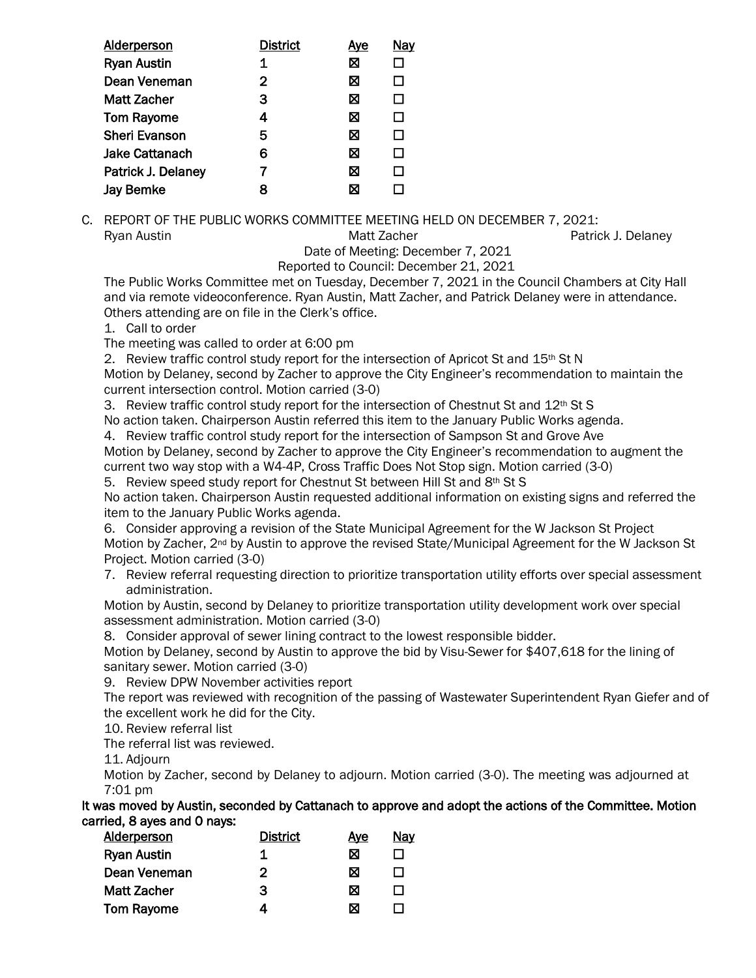| <b>Alderperson</b>   | <b>District</b> | Ave | <u>Nay</u> |
|----------------------|-----------------|-----|------------|
| <b>Ryan Austin</b>   | 1               | ⊠   |            |
| Dean Veneman         | 2               | ⊠   | LΙ         |
| Matt Zacher          | 3               | ⊠   | П          |
| <b>Tom Rayome</b>    | 4               | ⊠   | П          |
| <b>Sheri Evanson</b> | 5               | ⊠   | П          |
| Jake Cattanach       | 6               | ⊠   | П          |
| Patrick J. Delaney   | 7               | ⊠   | П          |
| <b>Jay Bemke</b>     | 8               | ⊠   |            |
|                      |                 |     |            |

C. REPORT OF THE PUBLIC WORKS COMMITTEE MEETING HELD ON DECEMBER 7, 2021: Ryan Austin **Matt Zacher** Patrick J. Delaney Matt Zacher **Patrick J. Delaney** 

Date of Meeting: December 7, 2021

Reported to Council: December 21, 2021

The Public Works Committee met on Tuesday, December 7, 2021 in the Council Chambers at City Hall and via remote videoconference. Ryan Austin, Matt Zacher, and Patrick Delaney were in attendance. Others attending are on file in the Clerk's office.

1. Call to order

The meeting was called to order at 6:00 pm

2. Review traffic control study report for the intersection of Apricot St and 15th St N

Motion by Delaney, second by Zacher to approve the City Engineer's recommendation to maintain the current intersection control. Motion carried (3-0)

3. Review traffic control study report for the intersection of Chestnut St and 12<sup>th</sup> St S

No action taken. Chairperson Austin referred this item to the January Public Works agenda.

4. Review traffic control study report for the intersection of Sampson St and Grove Ave Motion by Delaney, second by Zacher to approve the City Engineer's recommendation to augment the current two way stop with a W4-4P, Cross Traffic Does Not Stop sign. Motion carried (3-0)

5. Review speed study report for Chestnut St between Hill St and 8th St S

No action taken. Chairperson Austin requested additional information on existing signs and referred the item to the January Public Works agenda.

6. Consider approving a revision of the State Municipal Agreement for the W Jackson St Project Motion by Zacher, 2<sup>nd</sup> by Austin to approve the revised State/Municipal Agreement for the W Jackson St Project. Motion carried (3-0)

7. Review referral requesting direction to prioritize transportation utility efforts over special assessment administration.

Motion by Austin, second by Delaney to prioritize transportation utility development work over special assessment administration. Motion carried (3-0)

8. Consider approval of sewer lining contract to the lowest responsible bidder.

Motion by Delaney, second by Austin to approve the bid by Visu-Sewer for \$407,618 for the lining of sanitary sewer. Motion carried (3-0)

9. Review DPW November activities report

The report was reviewed with recognition of the passing of Wastewater Superintendent Ryan Giefer and of the excellent work he did for the City.

10. Review referral list

The referral list was reviewed.

11. Adjourn

Motion by Zacher, second by Delaney to adjourn. Motion carried (3-0). The meeting was adjourned at 7:01 pm

It was moved by Austin, seconded by Cattanach to approve and adopt the actions of the Committee. Motion carried, 8 ayes and 0 nays:

| <b>Alderperson</b> | <b>District</b> | Ave | <u>Nay</u> |
|--------------------|-----------------|-----|------------|
| <b>Ryan Austin</b> | 1               | ⊠   |            |
| Dean Veneman       | 2               | ⊠   |            |
| <b>Matt Zacher</b> | 3               | ⊠   |            |
| <b>Tom Rayome</b>  | 4               | N   |            |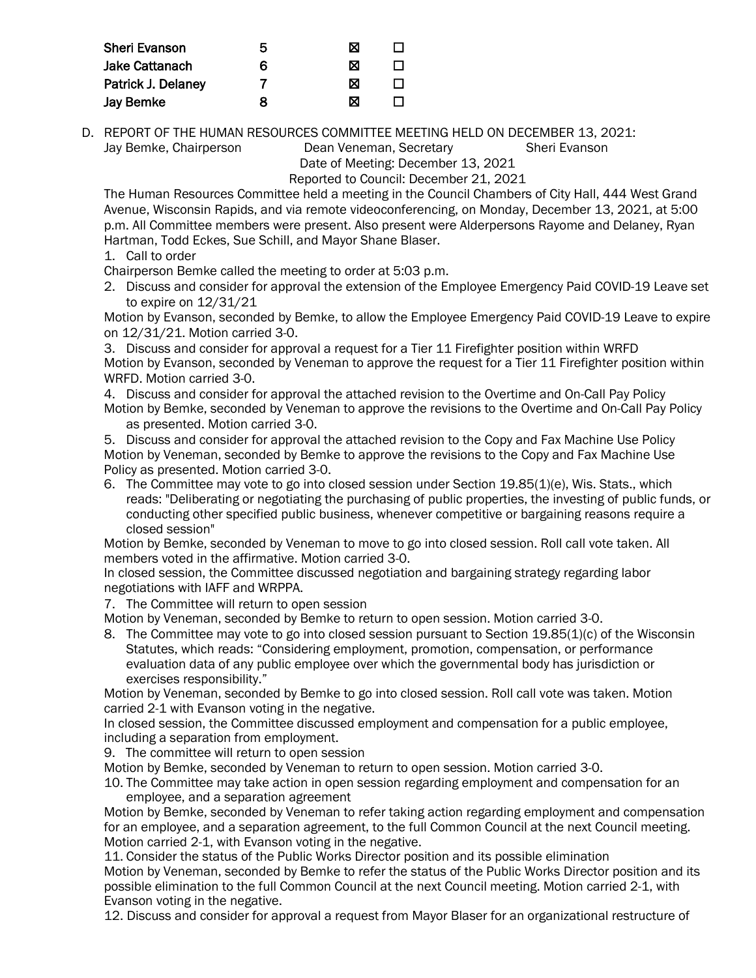| <b>Sheri Evanson</b>  | 5 | ⊠ |  |
|-----------------------|---|---|--|
| <b>Jake Cattanach</b> | 6 | ⊠ |  |
| Patrick J. Delaney    |   | ⊠ |  |
| <b>Jay Bemke</b>      | x | M |  |

D. REPORT OF THE HUMAN RESOURCES COMMITTEE MEETING HELD ON DECEMBER 13, 2021:

Jay Bemke, Chairperson **Dean Veneman, Secretary Sheri Evanson** 

Date of Meeting: December 13, 2021 Reported to Council: December 21, 2021

The Human Resources Committee held a meeting in the Council Chambers of City Hall, 444 West Grand Avenue, Wisconsin Rapids, and via remote videoconferencing, on Monday, December 13, 2021, at 5:00 p.m. All Committee members were present. Also present were Alderpersons Rayome and Delaney, Ryan Hartman, Todd Eckes, Sue Schill, and Mayor Shane Blaser.

1. Call to order

Chairperson Bemke called the meeting to order at 5:03 p.m.

2. Discuss and consider for approval the extension of the Employee Emergency Paid COVID-19 Leave set to expire on 12/31/21

Motion by Evanson, seconded by Bemke, to allow the Employee Emergency Paid COVID-19 Leave to expire on 12/31/21. Motion carried 3-0.

3. Discuss and consider for approval a request for a Tier 11 Firefighter position within WRFD Motion by Evanson, seconded by Veneman to approve the request for a Tier 11 Firefighter position within WRFD. Motion carried 3-0.

4. Discuss and consider for approval the attached revision to the Overtime and On-Call Pay Policy Motion by Bemke, seconded by Veneman to approve the revisions to the Overtime and On-Call Pay Policy

as presented. Motion carried 3-0.

5. Discuss and consider for approval the attached revision to the Copy and Fax Machine Use Policy Motion by Veneman, seconded by Bemke to approve the revisions to the Copy and Fax Machine Use Policy as presented. Motion carried 3-0.

6. The Committee may vote to go into closed session under Section 19.85(1)(e), Wis. Stats., which reads: "Deliberating or negotiating the purchasing of public properties, the investing of public funds, or conducting other specified public business, whenever competitive or bargaining reasons require a closed session"

Motion by Bemke, seconded by Veneman to move to go into closed session. Roll call vote taken. All members voted in the affirmative. Motion carried 3-0.

In closed session, the Committee discussed negotiation and bargaining strategy regarding labor negotiations with IAFF and WRPPA.

7. The Committee will return to open session

Motion by Veneman, seconded by Bemke to return to open session. Motion carried 3-0.

8. The Committee may vote to go into closed session pursuant to Section 19.85(1)(c) of the Wisconsin Statutes, which reads: "Considering employment, promotion, compensation, or performance evaluation data of any public employee over which the governmental body has jurisdiction or exercises responsibility."

Motion by Veneman, seconded by Bemke to go into closed session. Roll call vote was taken. Motion carried 2-1 with Evanson voting in the negative.

In closed session, the Committee discussed employment and compensation for a public employee, including a separation from employment.

9. The committee will return to open session

Motion by Bemke, seconded by Veneman to return to open session. Motion carried 3-0.

10. The Committee may take action in open session regarding employment and compensation for an employee, and a separation agreement

Motion by Bemke, seconded by Veneman to refer taking action regarding employment and compensation for an employee, and a separation agreement, to the full Common Council at the next Council meeting. Motion carried 2-1, with Evanson voting in the negative.

11. Consider the status of the Public Works Director position and its possible elimination Motion by Veneman, seconded by Bemke to refer the status of the Public Works Director position and its possible elimination to the full Common Council at the next Council meeting. Motion carried 2-1, with Evanson voting in the negative.

12. Discuss and consider for approval a request from Mayor Blaser for an organizational restructure of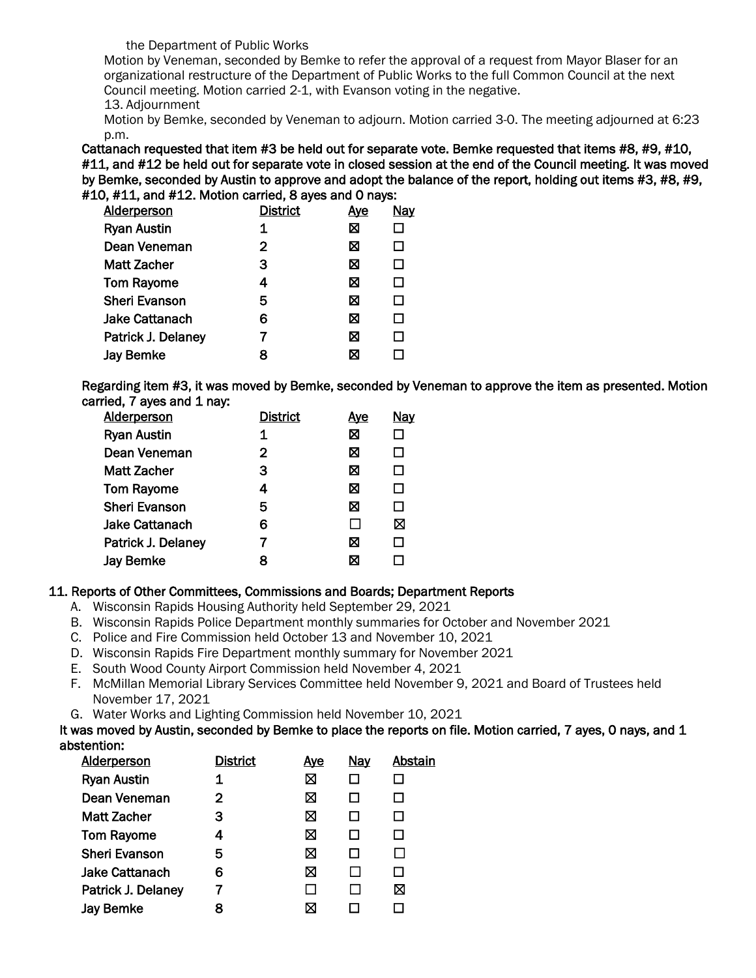#### the Department of Public Works

Motion by Veneman, seconded by Bemke to refer the approval of a request from Mayor Blaser for an organizational restructure of the Department of Public Works to the full Common Council at the next Council meeting. Motion carried 2-1, with Evanson voting in the negative.

13. Adjournment

Motion by Bemke, seconded by Veneman to adjourn. Motion carried 3-0. The meeting adjourned at 6:23 p.m.

Cattanach requested that item #3 be held out for separate vote. Bemke requested that items #8, #9, #10, #11, and #12 be held out for separate vote in closed session at the end of the Council meeting. It was moved by Bemke, seconded by Austin to approve and adopt the balance of the report, holding out items #3, #8, #9, #10, #11, and #12. Motion carried, 8 ayes and 0 nays:

| <b>Alderperson</b>    | <b>District</b> | <b>Aye</b> | <b>Nay</b> |
|-----------------------|-----------------|------------|------------|
| <b>Ryan Austin</b>    | 1               | ⊠          |            |
| Dean Veneman          | 2               | ⊠          | П          |
| <b>Matt Zacher</b>    | 3               | ⊠          | П          |
| <b>Tom Rayome</b>     | 4               | ⊠          | $\Box$     |
| <b>Sheri Evanson</b>  | 5               | ⊠          | □          |
| <b>Jake Cattanach</b> | 6               | ⊠          | П          |
| Patrick J. Delaney    |                 | ⊠          | П          |
| <b>Jay Bemke</b>      | 8               | ⊠          |            |

Regarding item #3, it was moved by Bemke, seconded by Veneman to approve the item as presented. Motion carried, 7 ayes and 1 nay:

| <b>Alderperson</b>    | <b>District</b> | <u>Aye</u>     | Nay |
|-----------------------|-----------------|----------------|-----|
| <b>Ryan Austin</b>    | 1               | X              |     |
| Dean Veneman          | 2               | ⊠              | П   |
| <b>Matt Zacher</b>    | 3               | ⊠              | П   |
| <b>Tom Rayome</b>     | 4               | X              | П   |
| <b>Sheri Evanson</b>  | 5               | X              | П   |
| <b>Jake Cattanach</b> | 6               | $\blacksquare$ | ⊠   |
| Patrick J. Delaney    |                 | ⊠              | П   |
| <b>Jay Bemke</b>      | 8               | ⊠              |     |

#### 11. Reports of Other Committees, Commissions and Boards; Department Reports

- A. Wisconsin Rapids Housing Authority held September 29, 2021
- B. Wisconsin Rapids Police Department monthly summaries for October and November 2021
- C. Police and Fire Commission held October 13 and November 10, 2021
- D. Wisconsin Rapids Fire Department monthly summary for November 2021
- E. South Wood County Airport Commission held November 4, 2021
- F. McMillan Memorial Library Services Committee held November 9, 2021 and Board of Trustees held November 17, 2021
- G. Water Works and Lighting Commission held November 10, 2021

It was moved by Austin, seconded by Bemke to place the reports on file. Motion carried, 7 ayes, 0 nays, and 1 abstention:

| Alderperson           | <b>District</b> | <u>Aye</u> | <b>Nay</b> | Abstain |
|-----------------------|-----------------|------------|------------|---------|
| <b>Ryan Austin</b>    |                 | ⊠          |            |         |
| Dean Veneman          | 2               | ⊠          |            |         |
| <b>Matt Zacher</b>    | 3               | ⊠          |            |         |
| <b>Tom Rayome</b>     | 4               | ⊠          |            |         |
| <b>Sheri Evanson</b>  | 5               | ⊠          |            |         |
| <b>Jake Cattanach</b> | 6               | ⊠          |            |         |
| Patrick J. Delaney    |                 |            |            | ⊠       |
| Jay Bemke             |                 | M          |            |         |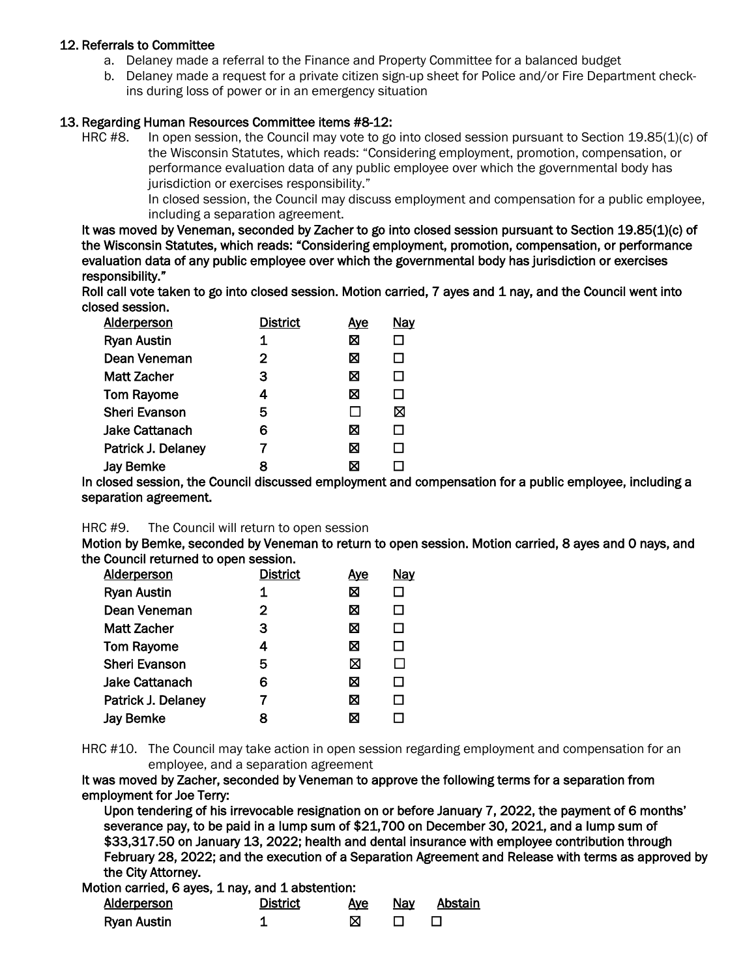#### 12. Referrals to Committee

- a. Delaney made a referral to the Finance and Property Committee for a balanced budget
- b. Delaney made a request for a private citizen sign-up sheet for Police and/or Fire Department checkins during loss of power or in an emergency situation

#### 13. Regarding Human Resources Committee items #8-12:

HRC #8. In open session, the Council may vote to go into closed session pursuant to Section 19.85(1)(c) of the Wisconsin Statutes, which reads: "Considering employment, promotion, compensation, or performance evaluation data of any public employee over which the governmental body has jurisdiction or exercises responsibility."

> In closed session, the Council may discuss employment and compensation for a public employee, including a separation agreement.

It was moved by Veneman, seconded by Zacher to go into closed session pursuant to Section 19.85(1)(c) of the Wisconsin Statutes, which reads: "Considering employment, promotion, compensation, or performance evaluation data of any public employee over which the governmental body has jurisdiction or exercises responsibility."

Roll call vote taken to go into closed session. Motion carried, 7 ayes and 1 nay, and the Council went into closed session.

| <b>Alderperson</b>   | <b>District</b> | Aye | Nay    |
|----------------------|-----------------|-----|--------|
| <b>Ryan Austin</b>   | 1               | ⊠   |        |
| Dean Veneman         | $\mathbf{2}$    | ⊠   | ш      |
| <b>Matt Zacher</b>   | 3               | ⊠   | П      |
| <b>Tom Rayome</b>    | 4               | ⊠   | $\Box$ |
| <b>Sheri Evanson</b> | 5               | П   | ⊠      |
| Jake Cattanach       | 6               | ⊠   | П      |
| Patrick J. Delaney   |                 | ⊠   | П      |
| <b>Jay Bemke</b>     | 8               | X   |        |

In closed session, the Council discussed employment and compensation for a public employee, including a separation agreement.

#### HRC #9. The Council will return to open session

Motion by Bemke, seconded by Veneman to return to open session. Motion carried, 8 ayes and 0 nays, and the Council returned to open session.

| <b>Alderperson</b>   | <b>District</b> | <u>Aye</u> | <b>Nay</b> |
|----------------------|-----------------|------------|------------|
| <b>Ryan Austin</b>   | 1               | ⊠          |            |
| Dean Veneman         | $\mathbf{2}$    | ⊠          |            |
| Matt Zacher          | З               | ⊠          | П          |
| <b>Tom Rayome</b>    | 4               | ⊠          | П          |
| <b>Sheri Evanson</b> | 5               | ⊠          |            |
| Jake Cattanach       | 6               | ⊠          | П          |
| Patrick J. Delaney   |                 | ⊠          | П          |
| <b>Jay Bemke</b>     | 8               | ⊠          |            |

HRC #10. The Council may take action in open session regarding employment and compensation for an employee, and a separation agreement

It was moved by Zacher, seconded by Veneman to approve the following terms for a separation from employment for Joe Terry:

Upon tendering of his irrevocable resignation on or before January 7, 2022, the payment of 6 months' severance pay, to be paid in a lump sum of \$21,700 on December 30, 2021, and a lump sum of \$33,317.50 on January 13, 2022; health and dental insurance with employee contribution through February 28, 2022; and the execution of a Separation Agreement and Release with terms as approved by the City Attorney.

Motion carried, 6 ayes, 1 nay, and 1 abstention:

| Alderperson        | <b>District</b> | Aye | Nav | Abstain |
|--------------------|-----------------|-----|-----|---------|
| <b>Ryan Austin</b> |                 |     |     |         |